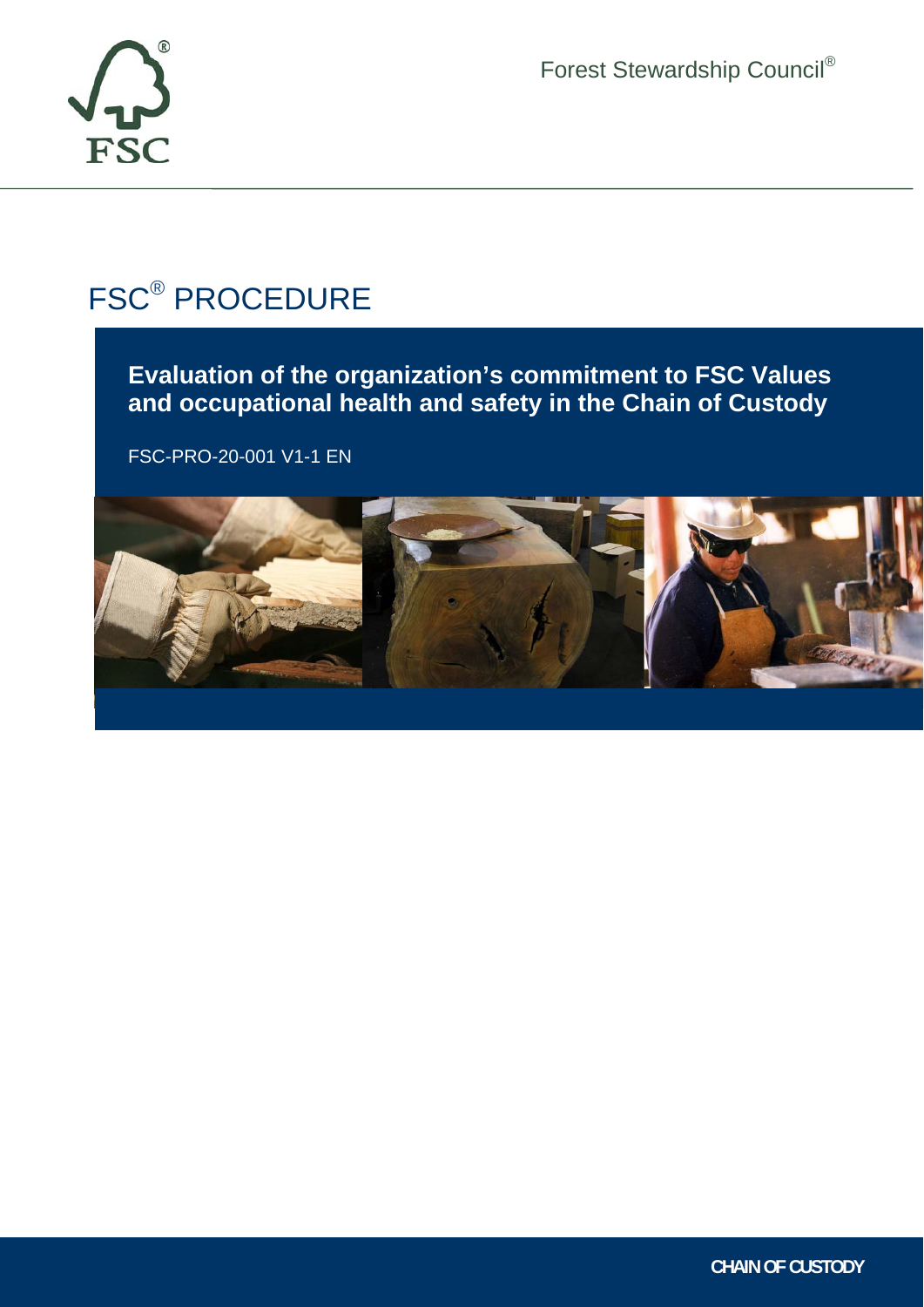

Forest Stewardship Council®

# FSC® PROCEDURE

**Evaluation of the organization's commitment to FSC Values and occupational health and safety in the Chain of Custody** 

FSC-PRO-20-001 V1-1 EN



Ī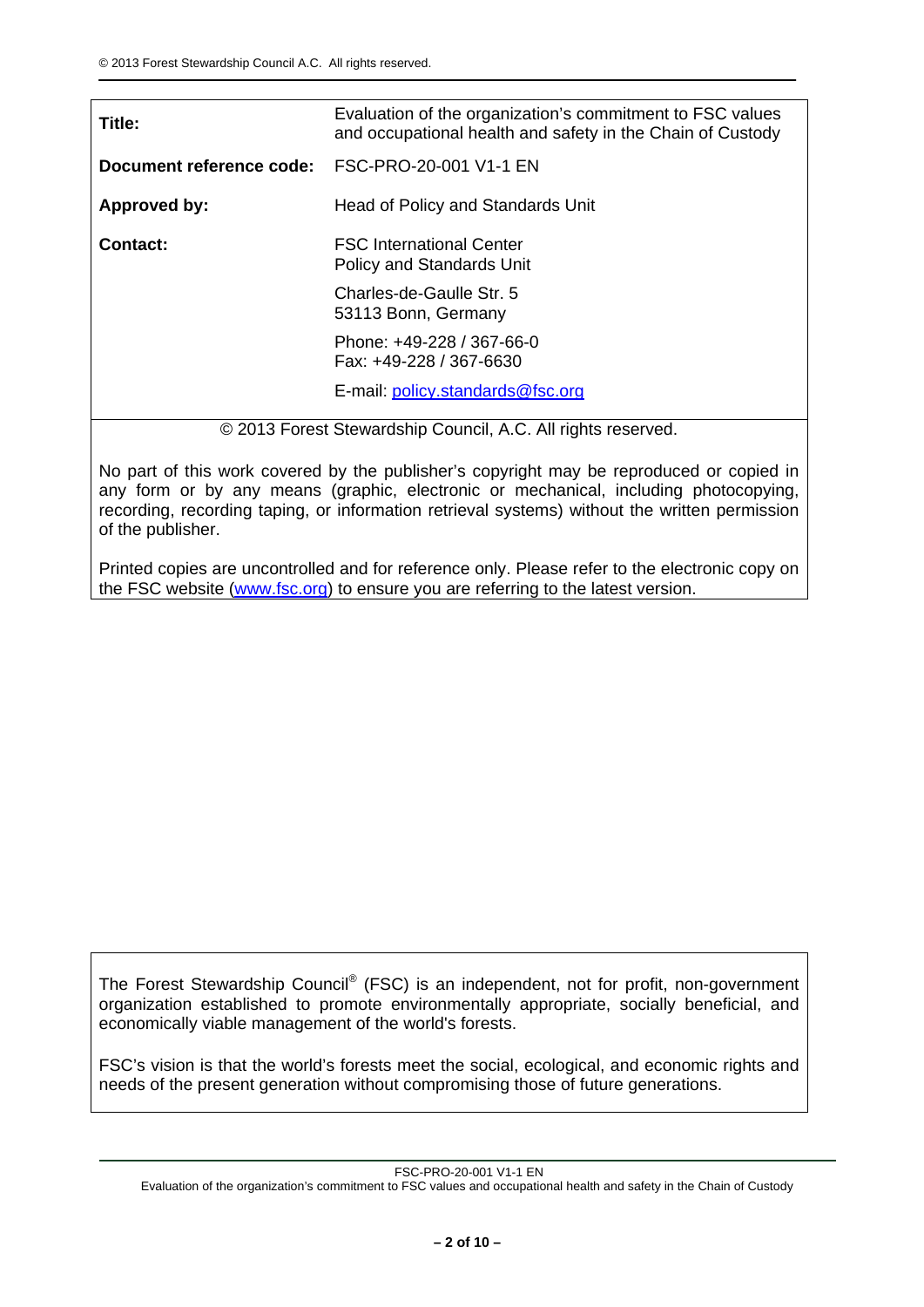| Title:                   | Evaluation of the organization's commitment to FSC values<br>and occupational health and safety in the Chain of Custody |
|--------------------------|-------------------------------------------------------------------------------------------------------------------------|
| Document reference code: | FSC-PRO-20-001 V1-1 EN                                                                                                  |
| Approved by:             | Head of Policy and Standards Unit                                                                                       |
| <b>Contact:</b>          | <b>FSC International Center</b><br><b>Policy and Standards Unit</b>                                                     |
|                          | Charles-de-Gaulle Str. 5<br>53113 Bonn, Germany                                                                         |
|                          | Phone: +49-228 / 367-66-0<br>Fax: +49-228 / 367-6630                                                                    |
|                          | E-mail: policy.standards@fsc.org                                                                                        |

© 2013 Forest Stewardship Council, A.C. All rights reserved.

No part of this work covered by the publisher's copyright may be reproduced or copied in any form or by any means (graphic, electronic or mechanical, including photocopying, recording, recording taping, or information retrieval systems) without the written permission of the publisher.

Printed copies are uncontrolled and for reference only. Please refer to the electronic copy on the FSC website (www.fsc.org) to ensure you are referring to the latest version.

The Forest Stewardship Council® (FSC) is an independent, not for profit, non-government organization established to promote environmentally appropriate, socially beneficial, and economically viable management of the world's forests.

FSC's vision is that the world's forests meet the social, ecological, and economic rights and needs of the present generation without compromising those of future generations.

FSC-PRO-20-001 V1-1 EN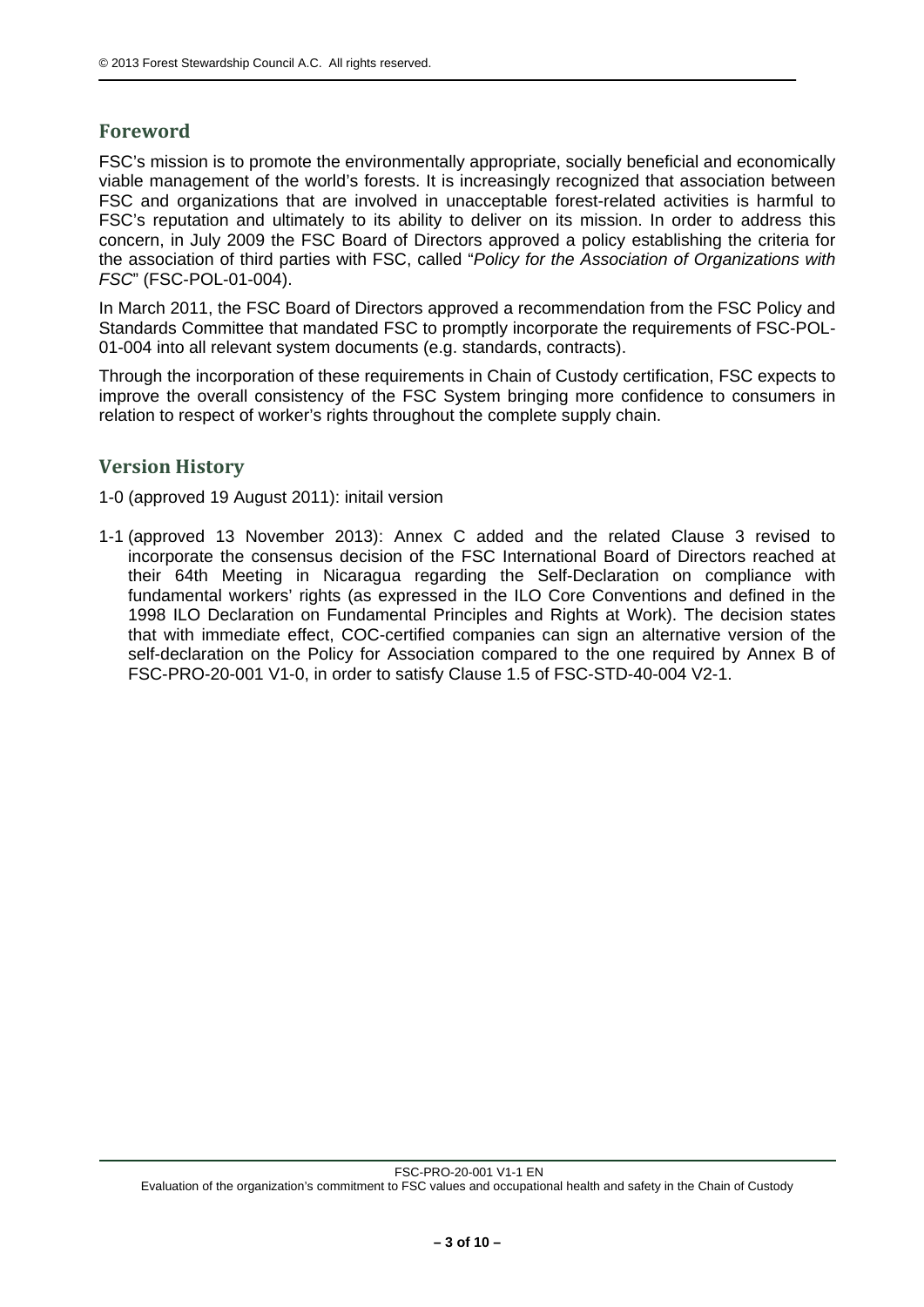# **Foreword**

FSC's mission is to promote the environmentally appropriate, socially beneficial and economically viable management of the world's forests. It is increasingly recognized that association between FSC and organizations that are involved in unacceptable forest-related activities is harmful to FSC's reputation and ultimately to its ability to deliver on its mission. In order to address this concern, in July 2009 the FSC Board of Directors approved a policy establishing the criteria for the association of third parties with FSC, called "*Policy for the Association of Organizations with FSC*" (FSC-POL-01-004).

In March 2011, the FSC Board of Directors approved a recommendation from the FSC Policy and Standards Committee that mandated FSC to promptly incorporate the requirements of FSC-POL-01-004 into all relevant system documents (e.g. standards, contracts).

Through the incorporation of these requirements in Chain of Custody certification, FSC expects to improve the overall consistency of the FSC System bringing more confidence to consumers in relation to respect of worker's rights throughout the complete supply chain.

# **Version History**

1-0 (approved 19 August 2011): initail version

1-1 (approved 13 November 2013): Annex C added and the related Clause 3 revised to incorporate the consensus decision of the FSC International Board of Directors reached at their 64th Meeting in Nicaragua regarding the Self-Declaration on compliance with fundamental workers' rights (as expressed in the ILO Core Conventions and defined in the 1998 ILO Declaration on Fundamental Principles and Rights at Work). The decision states that with immediate effect, COC-certified companies can sign an alternative version of the self-declaration on the Policy for Association compared to the one required by Annex B of FSC-PRO-20-001 V1-0, in order to satisfy Clause 1.5 of FSC-STD-40-004 V2-1.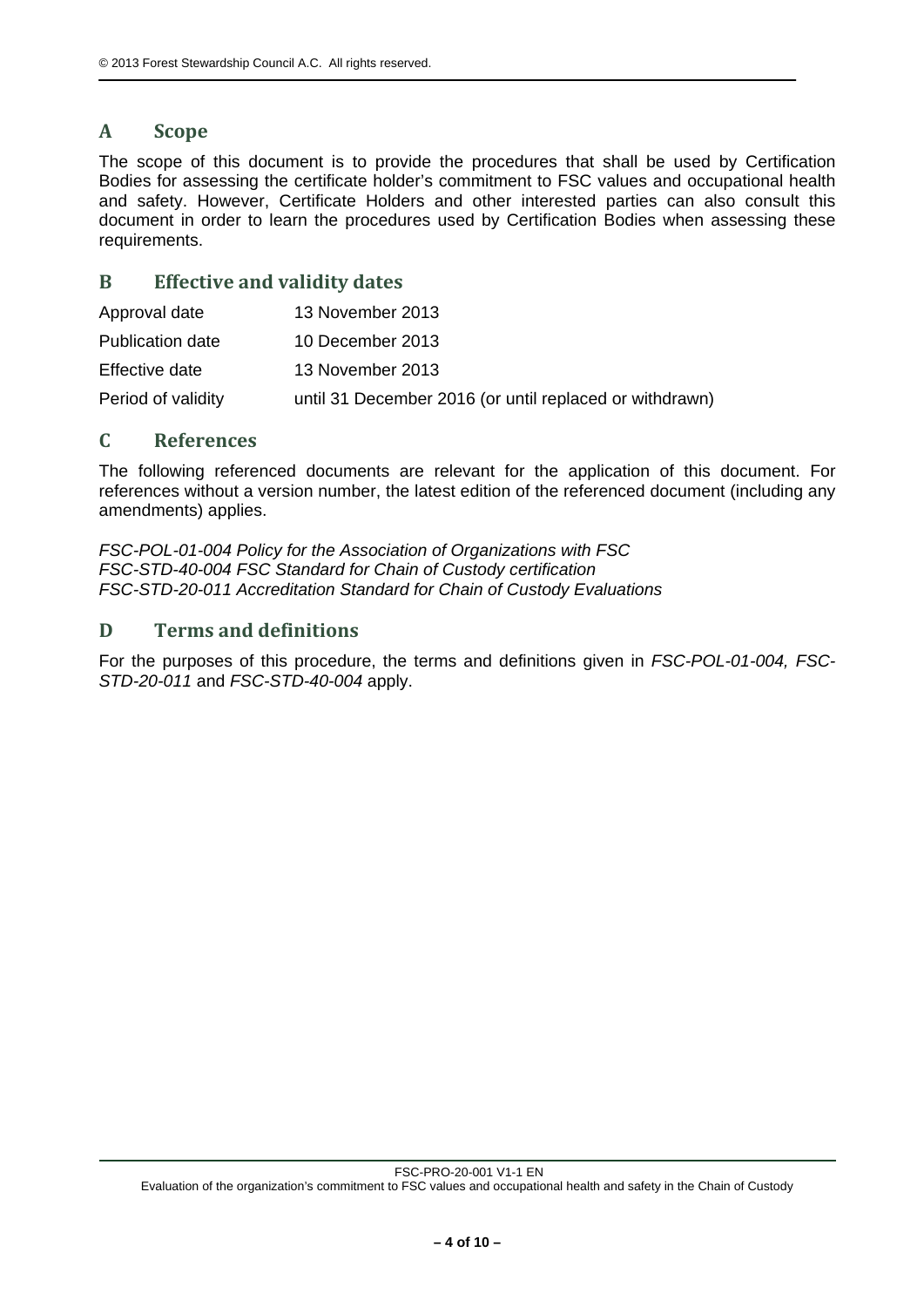# **A Scope**

The scope of this document is to provide the procedures that shall be used by Certification Bodies for assessing the certificate holder's commitment to FSC values and occupational health and safety. However, Certificate Holders and other interested parties can also consult this document in order to learn the procedures used by Certification Bodies when assessing these requirements.

## **B Effective and validity dates**

| Approval date      | 13 November 2013                                        |
|--------------------|---------------------------------------------------------|
| Publication date   | 10 December 2013                                        |
| Effective date     | 13 November 2013                                        |
| Period of validity | until 31 December 2016 (or until replaced or withdrawn) |

#### **C References**

The following referenced documents are relevant for the application of this document. For references without a version number, the latest edition of the referenced document (including any amendments) applies.

*FSC-POL-01-004 Policy for the Association of Organizations with FSC FSC-STD-40-004 FSC Standard for Chain of Custody certification FSC-STD-20-011 Accreditation Standard for Chain of Custody Evaluations* 

# **D Terms and definitions**

For the purposes of this procedure, the terms and definitions given in *FSC-POL-01-004, FSC-STD-20-011* and *FSC-STD-40-004* apply.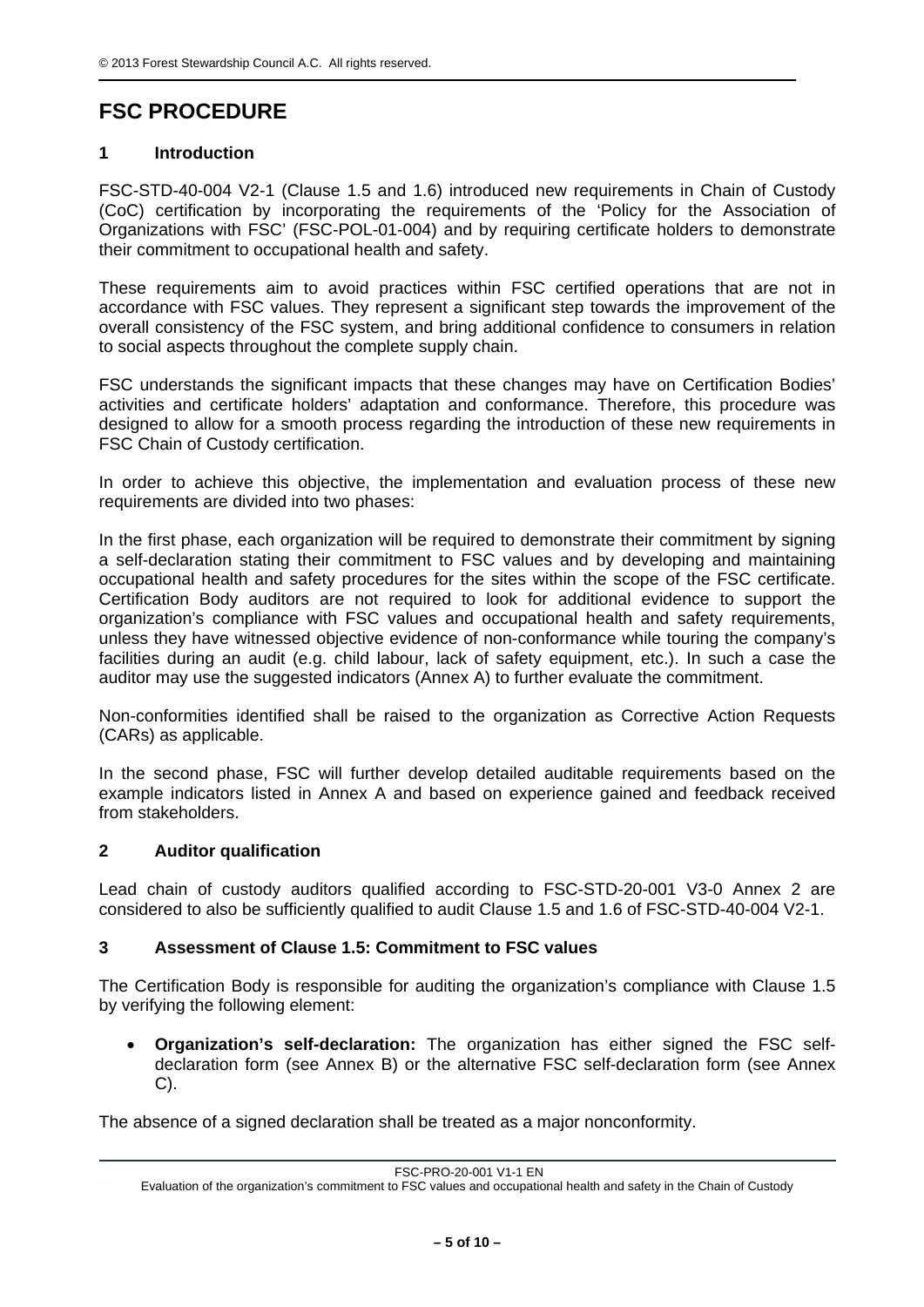# **FSC PROCEDURE**

# **1 Introduction**

FSC-STD-40-004 V2-1 (Clause 1.5 and 1.6) introduced new requirements in Chain of Custody (CoC) certification by incorporating the requirements of the 'Policy for the Association of Organizations with FSC' (FSC-POL-01-004) and by requiring certificate holders to demonstrate their commitment to occupational health and safety.

These requirements aim to avoid practices within FSC certified operations that are not in accordance with FSC values. They represent a significant step towards the improvement of the overall consistency of the FSC system, and bring additional confidence to consumers in relation to social aspects throughout the complete supply chain.

FSC understands the significant impacts that these changes may have on Certification Bodies' activities and certificate holders' adaptation and conformance. Therefore, this procedure was designed to allow for a smooth process regarding the introduction of these new requirements in FSC Chain of Custody certification.

In order to achieve this objective, the implementation and evaluation process of these new requirements are divided into two phases:

In the first phase, each organization will be required to demonstrate their commitment by signing a self-declaration stating their commitment to FSC values and by developing and maintaining occupational health and safety procedures for the sites within the scope of the FSC certificate. Certification Body auditors are not required to look for additional evidence to support the organization's compliance with FSC values and occupational health and safety requirements, unless they have witnessed objective evidence of non-conformance while touring the company's facilities during an audit (e.g. child labour, lack of safety equipment, etc.). In such a case the auditor may use the suggested indicators (Annex A) to further evaluate the commitment.

Non-conformities identified shall be raised to the organization as Corrective Action Requests (CARs) as applicable.

In the second phase, FSC will further develop detailed auditable requirements based on the example indicators listed in Annex A and based on experience gained and feedback received from stakeholders.

#### **2 Auditor qualification**

Lead chain of custody auditors qualified according to FSC-STD-20-001 V3-0 Annex 2 are considered to also be sufficiently qualified to audit Clause 1.5 and 1.6 of FSC-STD-40-004 V2-1.

#### **3 Assessment of Clause 1.5: Commitment to FSC values**

The Certification Body is responsible for auditing the organization's compliance with Clause 1.5 by verifying the following element:

 **Organization's self-declaration:** The organization has either signed the FSC selfdeclaration form (see Annex B) or the alternative FSC self-declaration form (see Annex C).

The absence of a signed declaration shall be treated as a major nonconformity.

FSC-PRO-20-001 V1-1 EN

Evaluation of the organization's commitment to FSC values and occupational health and safety in the Chain of Custody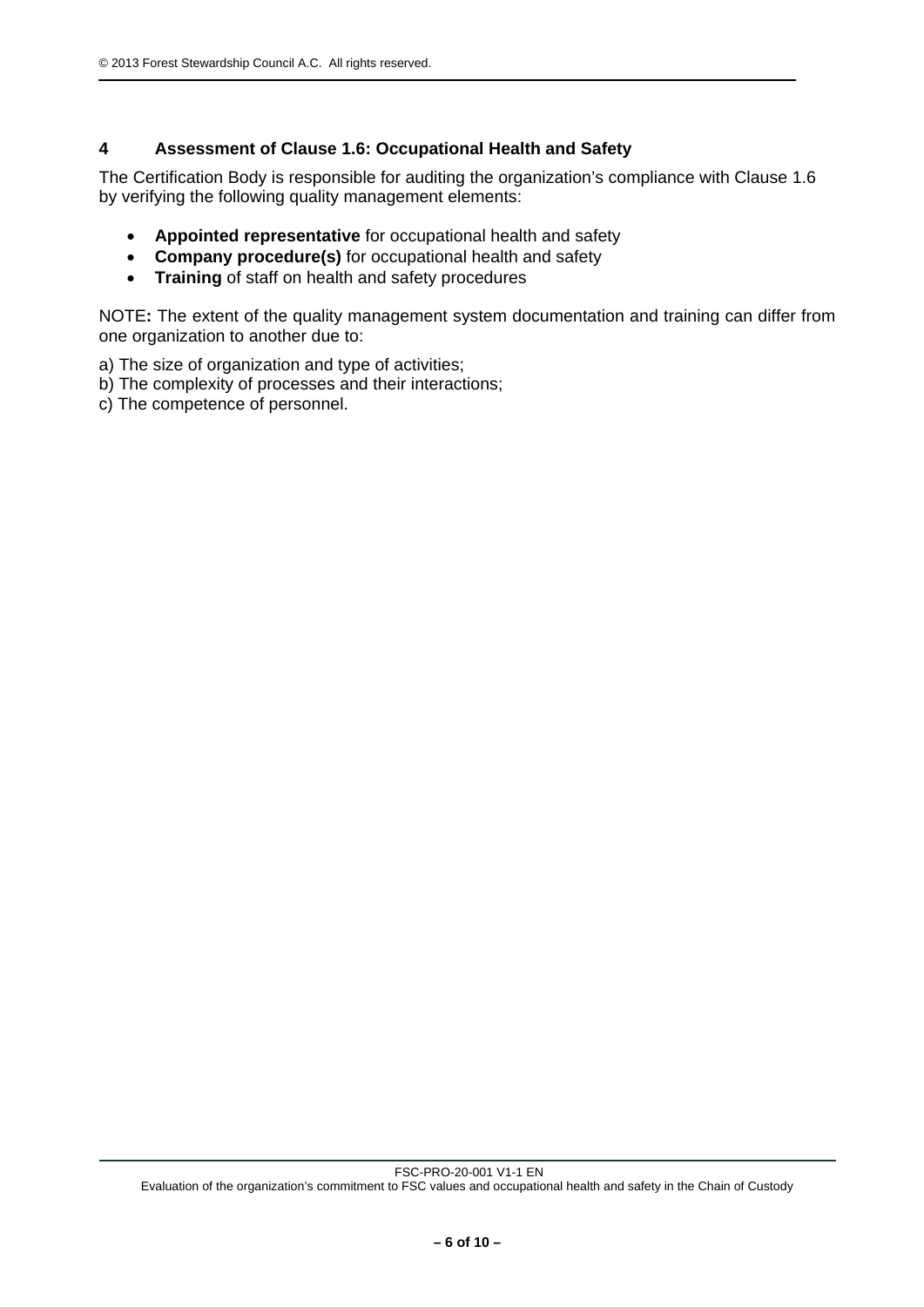## **4 Assessment of Clause 1.6: Occupational Health and Safety**

The Certification Body is responsible for auditing the organization's compliance with Clause 1.6 by verifying the following quality management elements:

- **Appointed representative** for occupational health and safety
- **Company procedure(s)** for occupational health and safety
- **Training** of staff on health and safety procedures

NOTE**:** The extent of the quality management system documentation and training can differ from one organization to another due to:

a) The size of organization and type of activities;

- b) The complexity of processes and their interactions;
- c) The competence of personnel.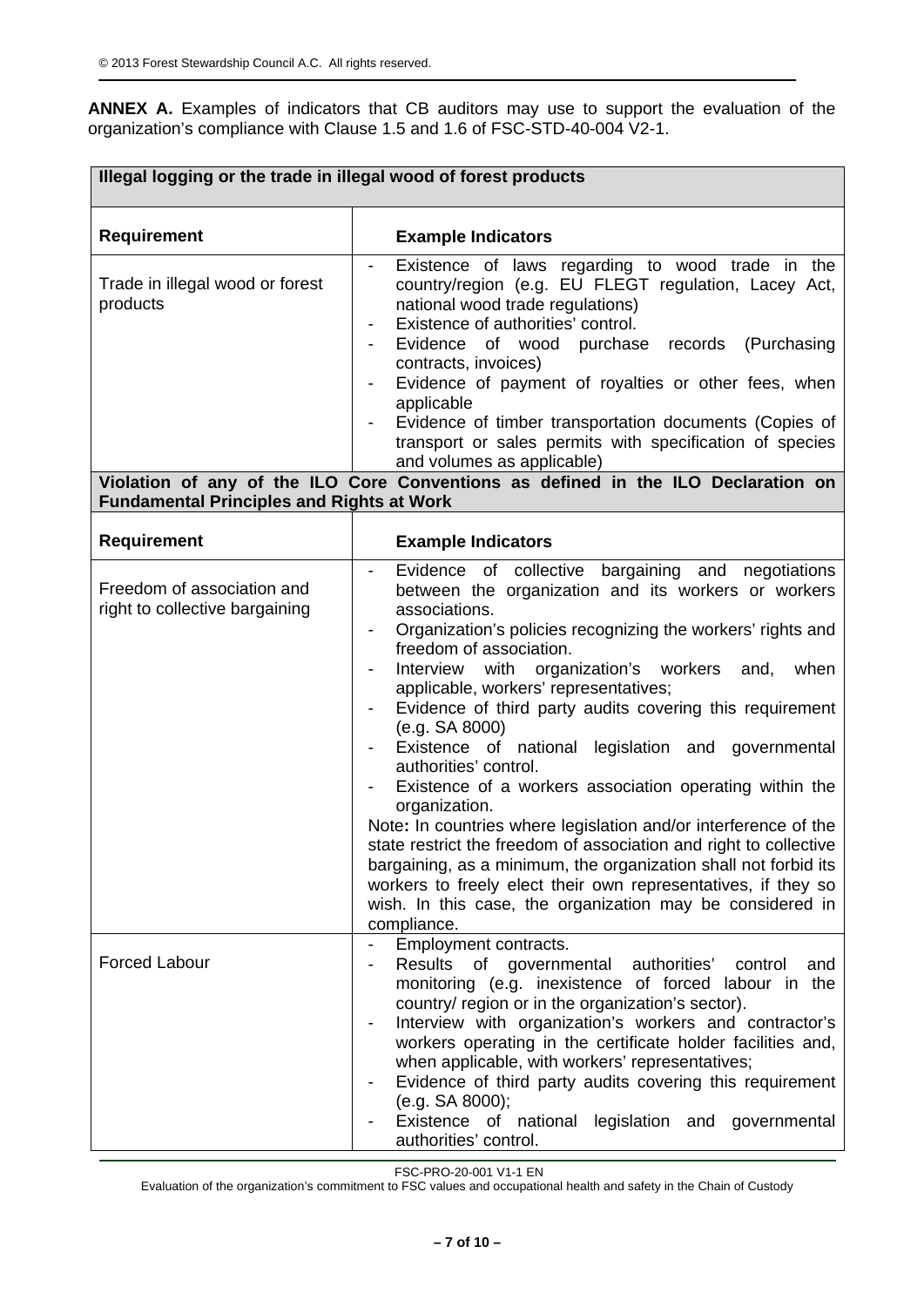**ANNEX A.** Examples of indicators that CB auditors may use to support the evaluation of the organization's compliance with Clause 1.5 and 1.6 of FSC-STD-40-004 V2-1.

| Illegal logging or the trade in illegal wood of forest products                                 |                                                                                                                                                                                                                                                                                                                                                                                                                                                                                                                                                                                                                                                                                                                                                                                                                                                                                                                            |  |
|-------------------------------------------------------------------------------------------------|----------------------------------------------------------------------------------------------------------------------------------------------------------------------------------------------------------------------------------------------------------------------------------------------------------------------------------------------------------------------------------------------------------------------------------------------------------------------------------------------------------------------------------------------------------------------------------------------------------------------------------------------------------------------------------------------------------------------------------------------------------------------------------------------------------------------------------------------------------------------------------------------------------------------------|--|
| <b>Requirement</b>                                                                              | <b>Example Indicators</b>                                                                                                                                                                                                                                                                                                                                                                                                                                                                                                                                                                                                                                                                                                                                                                                                                                                                                                  |  |
| Trade in illegal wood or forest<br>products<br><b>Fundamental Principles and Rights at Work</b> | Existence of laws regarding to wood trade in the<br>country/region (e.g. EU FLEGT regulation, Lacey Act,<br>national wood trade regulations)<br>Existence of authorities' control.<br>Evidence of wood purchase records<br>(Purchasing<br>contracts, invoices)<br>Evidence of payment of royalties or other fees, when<br>applicable<br>Evidence of timber transportation documents (Copies of<br>transport or sales permits with specification of species<br>and volumes as applicable)<br>Violation of any of the ILO Core Conventions as defined in the ILO Declaration on                                                                                                                                                                                                                                                                                                                                              |  |
| <b>Requirement</b>                                                                              | <b>Example Indicators</b>                                                                                                                                                                                                                                                                                                                                                                                                                                                                                                                                                                                                                                                                                                                                                                                                                                                                                                  |  |
| Freedom of association and<br>right to collective bargaining                                    | Evidence of collective bargaining and negotiations<br>between the organization and its workers or workers<br>associations.<br>Organization's policies recognizing the workers' rights and<br>freedom of association.<br>with organization's workers<br>Interview<br>when<br>and,<br>applicable, workers' representatives;<br>Evidence of third party audits covering this requirement<br>(e.g. SA 8000)<br>Existence of national legislation and governmental<br>authorities' control.<br>Existence of a workers association operating within the<br>organization.<br>Note: In countries where legislation and/or interference of the<br>state restrict the freedom of association and right to collective<br>bargaining, as a minimum, the organization shall not forbid its<br>workers to freely elect their own representatives, if they so<br>wish. In this case, the organization may be considered in<br>compliance. |  |
| <b>Forced Labour</b>                                                                            | Employment contracts.<br>Results of governmental authorities'<br>control<br>and<br>monitoring (e.g. inexistence of forced labour in the<br>country/ region or in the organization's sector).<br>Interview with organization's workers and contractor's<br>workers operating in the certificate holder facilities and,<br>when applicable, with workers' representatives;<br>Evidence of third party audits covering this requirement<br>(e.g. SA 8000);<br>Existence of national legislation and governmental<br>authorities' control.                                                                                                                                                                                                                                                                                                                                                                                     |  |

FSC-PRO-20-001 V1-1 EN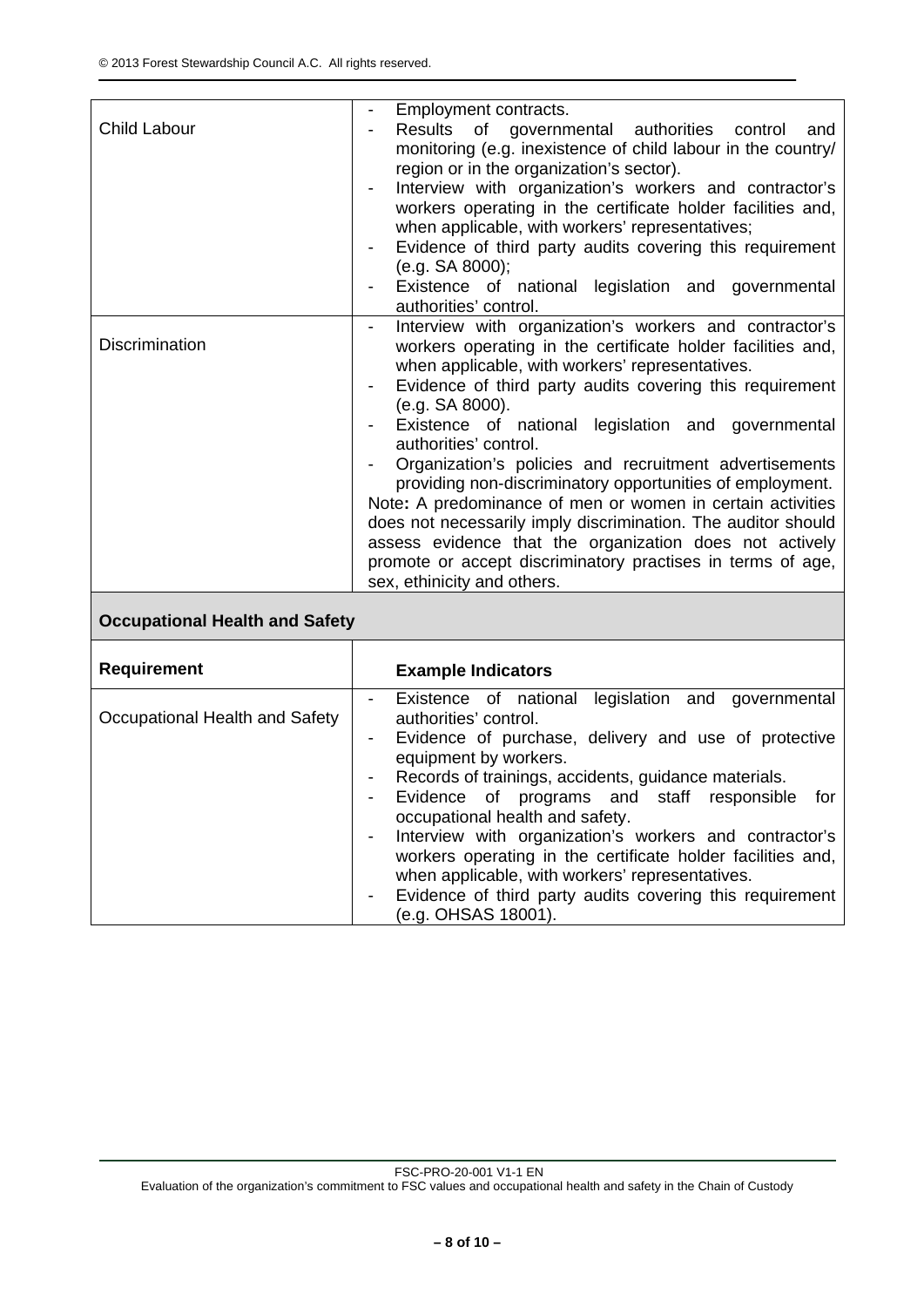| Child Labour                   | Employment contracts.<br>Results of governmental authorities control<br>and<br>monitoring (e.g. inexistence of child labour in the country/<br>region or in the organization's sector).<br>Interview with organization's workers and contractor's<br>workers operating in the certificate holder facilities and,<br>when applicable, with workers' representatives;<br>Evidence of third party audits covering this requirement<br>(e.g. SA 8000);<br>Existence of national legislation and governmental                                                                                                                                                                                                                                              |
|--------------------------------|-------------------------------------------------------------------------------------------------------------------------------------------------------------------------------------------------------------------------------------------------------------------------------------------------------------------------------------------------------------------------------------------------------------------------------------------------------------------------------------------------------------------------------------------------------------------------------------------------------------------------------------------------------------------------------------------------------------------------------------------------------|
|                                | authorities' control.                                                                                                                                                                                                                                                                                                                                                                                                                                                                                                                                                                                                                                                                                                                                 |
| <b>Discrimination</b>          | Interview with organization's workers and contractor's<br>workers operating in the certificate holder facilities and,<br>when applicable, with workers' representatives.<br>Evidence of third party audits covering this requirement<br>(e.g. SA 8000).<br>Existence of national legislation and governmental<br>authorities' control.<br>Organization's policies and recruitment advertisements<br>providing non-discriminatory opportunities of employment.<br>Note: A predominance of men or women in certain activities<br>does not necessarily imply discrimination. The auditor should<br>assess evidence that the organization does not actively<br>promote or accept discriminatory practises in terms of age,<br>sex, ethinicity and others. |
| Occunational Health and Safety |                                                                                                                                                                                                                                                                                                                                                                                                                                                                                                                                                                                                                                                                                                                                                       |

#### **Occupational Health and Safety**

| <b>Requirement</b>             | <b>Example Indicators</b>                                                                                                                                                                                                                                                                                                                                                                                                                                                                                                                                                |
|--------------------------------|--------------------------------------------------------------------------------------------------------------------------------------------------------------------------------------------------------------------------------------------------------------------------------------------------------------------------------------------------------------------------------------------------------------------------------------------------------------------------------------------------------------------------------------------------------------------------|
| Occupational Health and Safety | Existence of national legislation and governmental<br>authorities' control.<br>Evidence of purchase, delivery and use of protective<br>equipment by workers.<br>Records of trainings, accidents, guidance materials.<br>Evidence of programs and staff responsible for<br>occupational health and safety.<br>Interview with organization's workers and contractor's<br>workers operating in the certificate holder facilities and,<br>when applicable, with workers' representatives.<br>Evidence of third party audits covering this requirement<br>(e.g. OHSAS 18001). |

FSC-PRO-20-001 V1-1 EN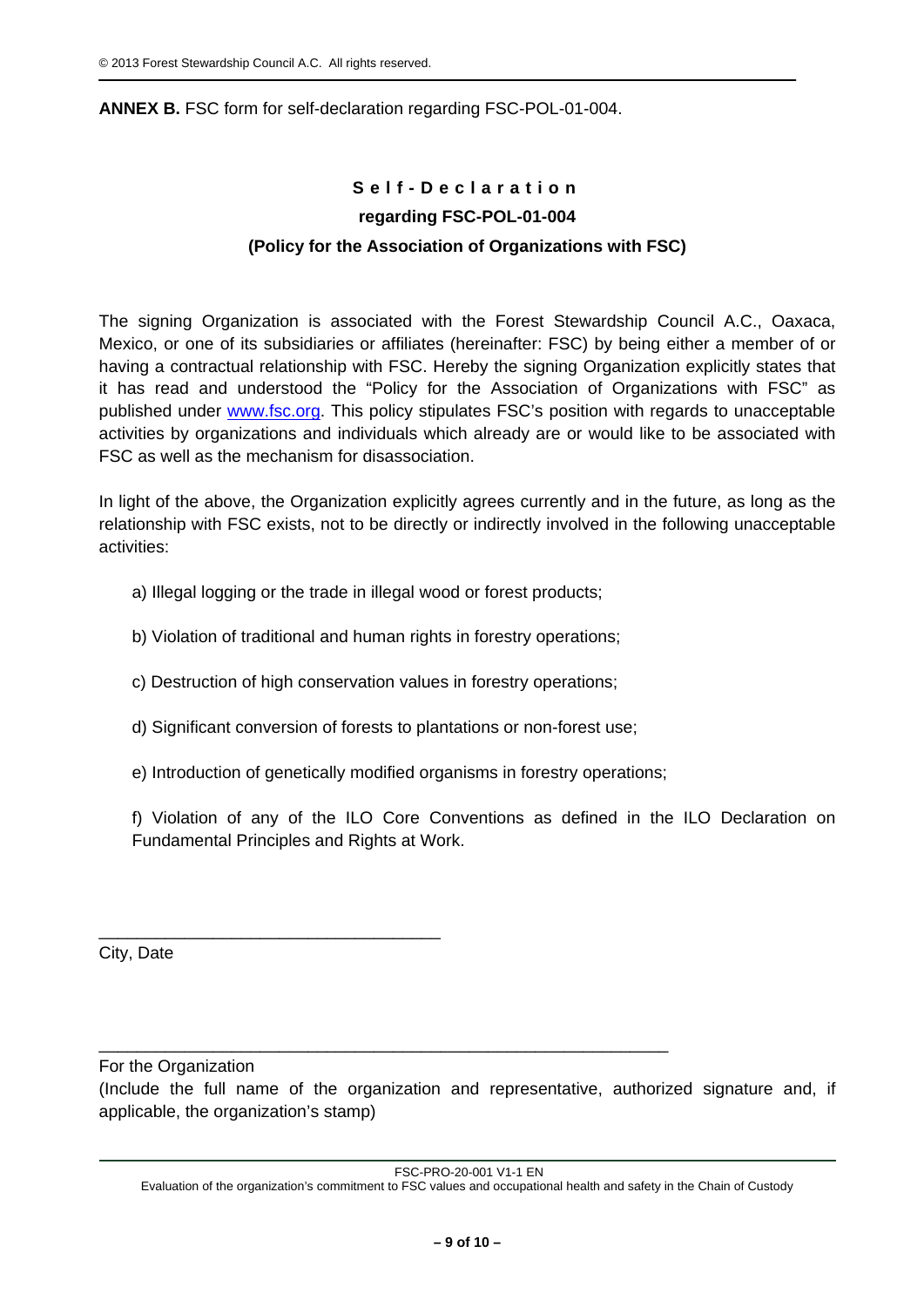#### **ANNEX B.** FSC form for self-declaration regarding FSC-POL-01-004.

# **Self-Declaration regarding FSC-POL-01-004 (Policy for the Association of Organizations with FSC)**

The signing Organization is associated with the Forest Stewardship Council A.C., Oaxaca, Mexico, or one of its subsidiaries or affiliates (hereinafter: FSC) by being either a member of or having a contractual relationship with FSC. Hereby the signing Organization explicitly states that it has read and understood the "Policy for the Association of Organizations with FSC" as published under www.fsc.org. This policy stipulates FSC's position with regards to unacceptable activities by organizations and individuals which already are or would like to be associated with FSC as well as the mechanism for disassociation.

In light of the above, the Organization explicitly agrees currently and in the future, as long as the relationship with FSC exists, not to be directly or indirectly involved in the following unacceptable activities:

- a) Illegal logging or the trade in illegal wood or forest products;
- b) Violation of traditional and human rights in forestry operations;
- c) Destruction of high conservation values in forestry operations;
- d) Significant conversion of forests to plantations or non-forest use;

\_\_\_\_\_\_\_\_\_\_\_\_\_\_\_\_\_\_\_\_\_\_\_\_\_\_\_\_\_\_\_\_\_\_\_\_\_\_\_\_\_\_\_\_\_\_\_\_\_\_\_\_\_\_\_\_\_\_\_\_

e) Introduction of genetically modified organisms in forestry operations;

f) Violation of any of the ILO Core Conventions as defined in the ILO Declaration on Fundamental Principles and Rights at Work.

City, Date

For the Organization

\_\_\_\_\_\_\_\_\_\_\_\_\_\_\_\_\_\_\_\_\_\_\_\_\_\_\_\_\_\_\_\_\_\_\_\_

(Include the full name of the organization and representative, authorized signature and, if applicable, the organization's stamp)

FSC-PRO-20-001 V1-1 EN

Evaluation of the organization's commitment to FSC values and occupational health and safety in the Chain of Custody